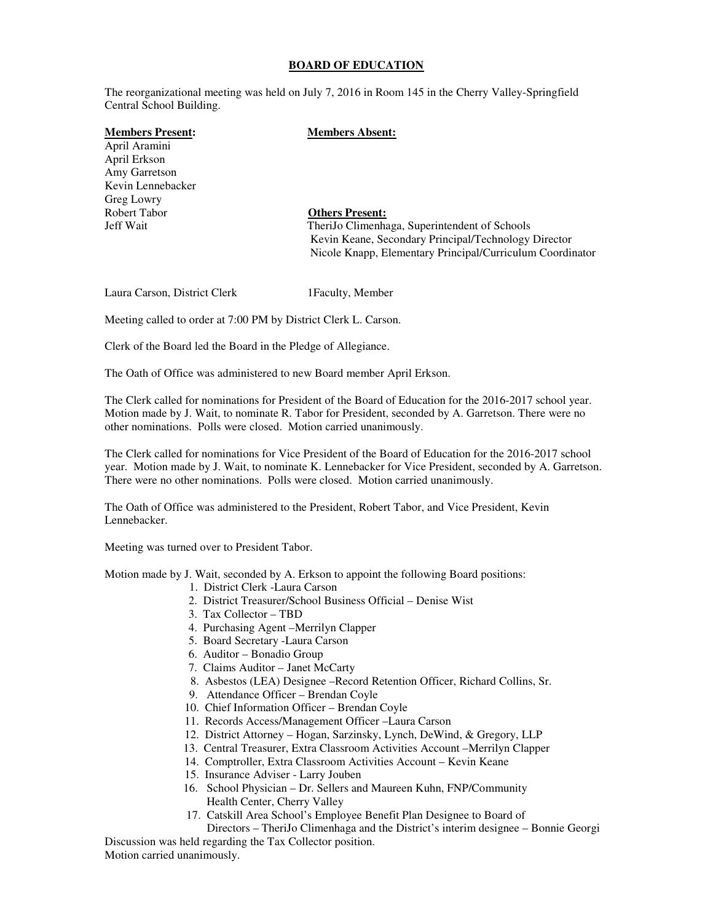### **BOARD OF EDUCATION**

The reorganizational meeting was held on July 7, 2016 in Room 145 in the Cherry Valley-Springfield Central School Building.

# **Members Present: Members Absent:**

April Aramini April Erkson Amy Garretson Kevin Lennebacker Greg Lowry Robert Tabor **Others Present:** 

Jeff Wait TheriJo Climenhaga, Superintendent of Schools Kevin Keane, Secondary Principal/Technology Director Nicole Knapp, Elementary Principal/Curriculum Coordinator

Laura Carson, District Clerk 1Faculty, Member

Meeting called to order at 7:00 PM by District Clerk L. Carson.

Clerk of the Board led the Board in the Pledge of Allegiance.

The Oath of Office was administered to new Board member April Erkson.

The Clerk called for nominations for President of the Board of Education for the 2016-2017 school year. Motion made by J. Wait, to nominate R. Tabor for President, seconded by A. Garretson. There were no other nominations. Polls were closed. Motion carried unanimously.

The Clerk called for nominations for Vice President of the Board of Education for the 2016-2017 school year. Motion made by J. Wait, to nominate K. Lennebacker for Vice President, seconded by A. Garretson. There were no other nominations. Polls were closed. Motion carried unanimously.

The Oath of Office was administered to the President, Robert Tabor, and Vice President, Kevin Lennebacker.

Meeting was turned over to President Tabor.

Motion made by J. Wait, seconded by A. Erkson to appoint the following Board positions:

- 1. District Clerk -Laura Carson
- 2. District Treasurer/School Business Official Denise Wist
- 3. Tax Collector TBD
- 4. Purchasing Agent –Merrilyn Clapper
- 5. Board Secretary -Laura Carson
- 6. Auditor Bonadio Group
- 7. Claims Auditor Janet McCarty
- 8. Asbestos (LEA) Designee –Record Retention Officer, Richard Collins, Sr.
- 9. Attendance Officer Brendan Coyle
- 10. Chief Information Officer Brendan Coyle
- 11. Records Access/Management Officer –Laura Carson
- 12. District Attorney Hogan, Sarzinsky, Lynch, DeWind, & Gregory, LLP
- 13. Central Treasurer, Extra Classroom Activities Account –Merrilyn Clapper
- 14. Comptroller, Extra Classroom Activities Account Kevin Keane
- 15. Insurance Adviser Larry Jouben
- 16. School Physician Dr. Sellers and Maureen Kuhn, FNP/Community Health Center, Cherry Valley
- 17. Catskill Area School's Employee Benefit Plan Designee to Board of

 Directors – TheriJo Climenhaga and the District's interim designee – Bonnie Georgi Discussion was held regarding the Tax Collector position.

Motion carried unanimously.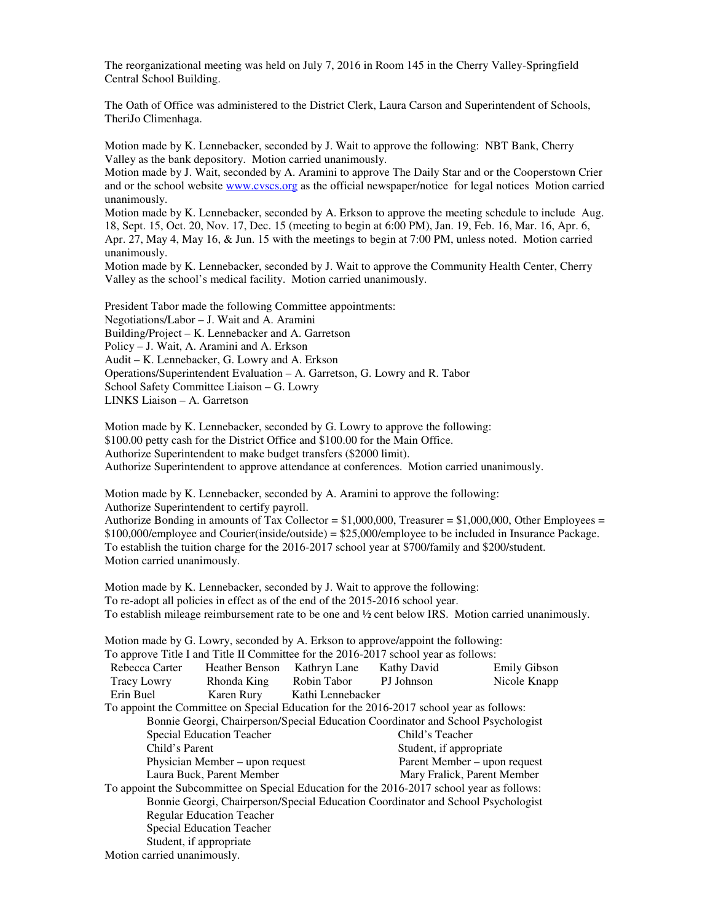The Oath of Office was administered to the District Clerk, Laura Carson and Superintendent of Schools, TheriJo Climenhaga.

Motion made by K. Lennebacker, seconded by J. Wait to approve the following: NBT Bank, Cherry Valley as the bank depository. Motion carried unanimously.

Motion made by J. Wait, seconded by A. Aramini to approve The Daily Star and or the Cooperstown Crier and or the school website www.cvscs.org as the official newspaper/notice for legal notices Motion carried unanimously.

Motion made by K. Lennebacker, seconded by A. Erkson to approve the meeting schedule to include Aug. 18, Sept. 15, Oct. 20, Nov. 17, Dec. 15 (meeting to begin at 6:00 PM), Jan. 19, Feb. 16, Mar. 16, Apr. 6, Apr. 27, May 4, May 16, & Jun. 15 with the meetings to begin at 7:00 PM, unless noted. Motion carried unanimously.

Motion made by K. Lennebacker, seconded by J. Wait to approve the Community Health Center, Cherry Valley as the school's medical facility. Motion carried unanimously.

President Tabor made the following Committee appointments: Negotiations/Labor – J. Wait and A. Aramini Building/Project – K. Lennebacker and A. Garretson Policy – J. Wait, A. Aramini and A. Erkson Audit – K. Lennebacker, G. Lowry and A. Erkson Operations/Superintendent Evaluation – A. Garretson, G. Lowry and R. Tabor School Safety Committee Liaison – G. Lowry LINKS Liaison – A. Garretson

Motion made by K. Lennebacker, seconded by G. Lowry to approve the following: \$100.00 petty cash for the District Office and \$100.00 for the Main Office. Authorize Superintendent to make budget transfers (\$2000 limit). Authorize Superintendent to approve attendance at conferences. Motion carried unanimously.

Motion made by K. Lennebacker, seconded by A. Aramini to approve the following: Authorize Superintendent to certify payroll. Authorize Bonding in amounts of Tax Collector =  $$1,000,000$ , Treasurer =  $$1,000,000$ , Other Employees = \$100,000/employee and Courier(inside/outside) = \$25,000/employee to be included in Insurance Package. To establish the tuition charge for the 2016-2017 school year at \$700/family and \$200/student. Motion carried unanimously.

Motion made by K. Lennebacker, seconded by J. Wait to approve the following: To re-adopt all policies in effect as of the end of the 2015-2016 school year. To establish mileage reimbursement rate to be one and ½ cent below IRS. Motion carried unanimously.

Motion made by G. Lowry, seconded by A. Erkson to approve/appoint the following: To approve Title I and Title II Committee for the 2016-2017 school year as follows: Rebecca Carter Heather Benson Kathryn Lane Kathy David Emily Gibson<br>
Tracy Lowry Rhonda King Robin Tabor PJ Johnson Nicole Knapp Tracy Lowry Rhonda King Robin Tabor PJ Johnson Nicole Knapp Erin Buel Karen Rury Kathi Lennebacker To appoint the Committee on Special Education for the 2016-2017 school year as follows: Bonnie Georgi, Chairperson/Special Education Coordinator and School Psychologist Special Education Teacher Child's Teacher Child's Parent Student, if appropriate Physician Member – upon request Parent Member – upon request Laura Buck, Parent Member Mary Fralick, Parent Member To appoint the Subcommittee on Special Education for the 2016-2017 school year as follows: Bonnie Georgi, Chairperson/Special Education Coordinator and School Psychologist Regular Education Teacher Special Education Teacher Student, if appropriate Motion carried unanimously.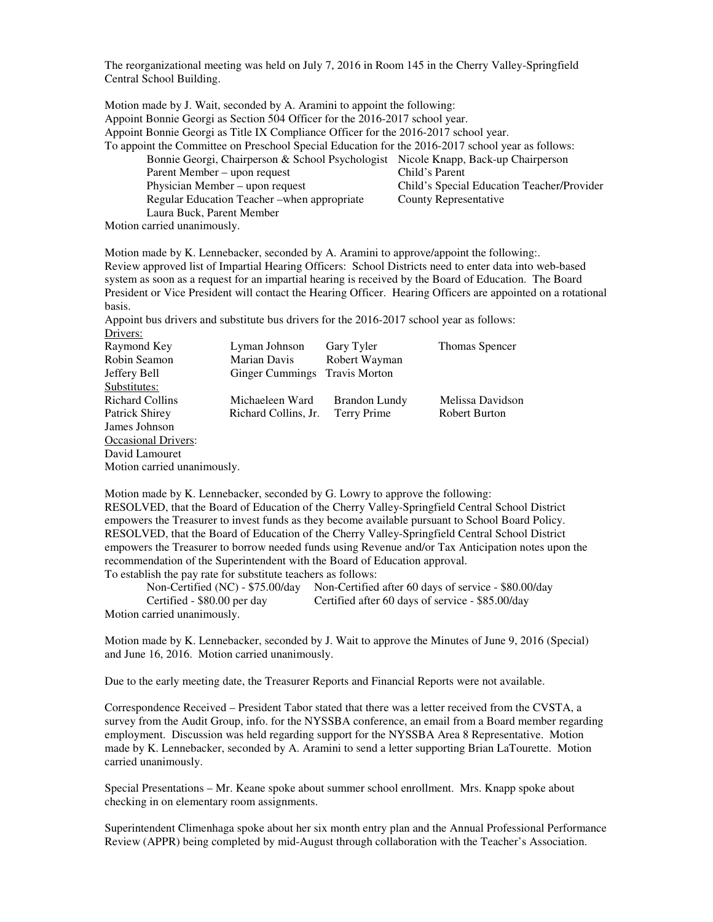Motion made by J. Wait, seconded by A. Aramini to appoint the following: Appoint Bonnie Georgi as Section 504 Officer for the 2016-2017 school year. Appoint Bonnie Georgi as Title IX Compliance Officer for the 2016-2017 school year. To appoint the Committee on Preschool Special Education for the 2016-2017 school year as follows: Bonnie Georgi, Chairperson & School Psychologist Nicole Knapp, Back-up Chairperson Parent Member – upon request Child's Parent Physician Member – upon request Child's Special Education Teacher/Provider Regular Education Teacher –when appropriate County Representative Laura Buck, Parent Member

Motion carried unanimously.

Motion made by K. Lennebacker, seconded by A. Aramini to approve/appoint the following:. Review approved list of Impartial Hearing Officers: School Districts need to enter data into web-based system as soon as a request for an impartial hearing is received by the Board of Education. The Board President or Vice President will contact the Hearing Officer. Hearing Officers are appointed on a rotational basis.

Appoint bus drivers and substitute bus drivers for the 2016-2017 school year as follows: Drivers:

| Raymond Key                 | Lyman Johnson          | Gary Tyler           | Thomas Spencer   |  |
|-----------------------------|------------------------|----------------------|------------------|--|
| Robin Seamon                | <b>Marian Davis</b>    | Robert Wayman        |                  |  |
| Jeffery Bell                | <b>Ginger Cummings</b> | <b>Travis Morton</b> |                  |  |
| Substitutes:                |                        |                      |                  |  |
| <b>Richard Collins</b>      | Michaeleen Ward        | <b>Brandon Lundy</b> | Melissa Davidson |  |
| <b>Patrick Shirey</b>       | Richard Collins, Jr.   | Terry Prime          | Robert Burton    |  |
| James Johnson               |                        |                      |                  |  |
| <b>Occasional Drivers:</b>  |                        |                      |                  |  |
| David Lamouret              |                        |                      |                  |  |
| Motion carried unanimously. |                        |                      |                  |  |

Motion made by K. Lennebacker, seconded by G. Lowry to approve the following: RESOLVED, that the Board of Education of the Cherry Valley-Springfield Central School District empowers the Treasurer to invest funds as they become available pursuant to School Board Policy. RESOLVED, that the Board of Education of the Cherry Valley-Springfield Central School District empowers the Treasurer to borrow needed funds using Revenue and/or Tax Anticipation notes upon the recommendation of the Superintendent with the Board of Education approval. To establish the pay rate for substitute teachers as follows:

 Non-Certified (NC) - \$75.00/day Non-Certified after 60 days of service - \$80.00/day Certified - \$80.00 per day Certified after 60 days of service - \$85.00/day Motion carried unanimously.

Motion made by K. Lennebacker, seconded by J. Wait to approve the Minutes of June 9, 2016 (Special) and June 16, 2016. Motion carried unanimously.

Due to the early meeting date, the Treasurer Reports and Financial Reports were not available.

Correspondence Received – President Tabor stated that there was a letter received from the CVSTA, a survey from the Audit Group, info. for the NYSSBA conference, an email from a Board member regarding employment. Discussion was held regarding support for the NYSSBA Area 8 Representative. Motion made by K. Lennebacker, seconded by A. Aramini to send a letter supporting Brian LaTourette. Motion carried unanimously.

Special Presentations – Mr. Keane spoke about summer school enrollment. Mrs. Knapp spoke about checking in on elementary room assignments.

Superintendent Climenhaga spoke about her six month entry plan and the Annual Professional Performance Review (APPR) being completed by mid-August through collaboration with the Teacher's Association.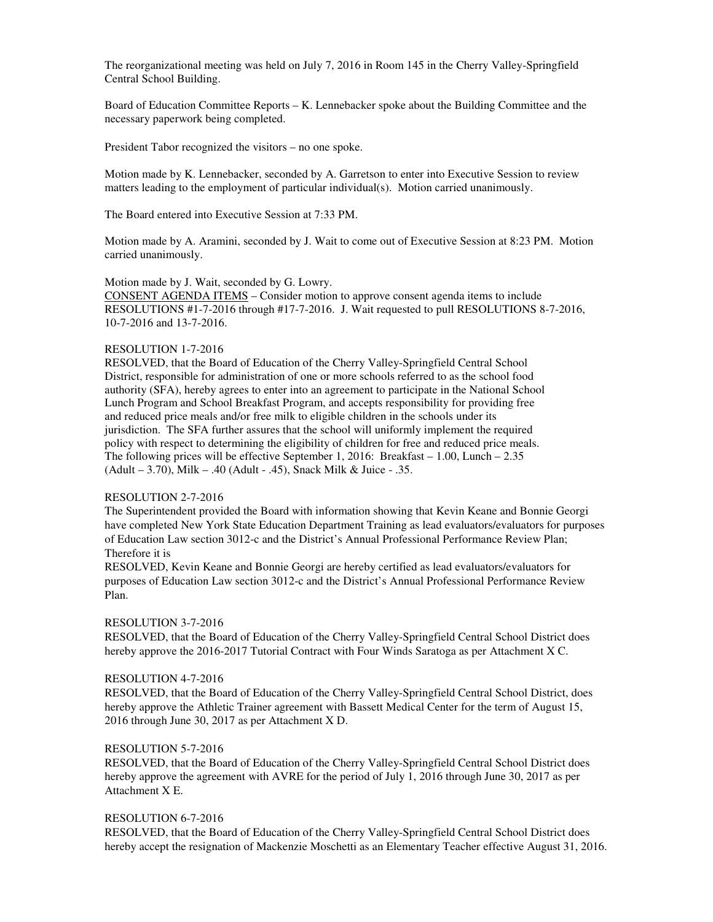Board of Education Committee Reports – K. Lennebacker spoke about the Building Committee and the necessary paperwork being completed.

President Tabor recognized the visitors – no one spoke.

Motion made by K. Lennebacker, seconded by A. Garretson to enter into Executive Session to review matters leading to the employment of particular individual(s). Motion carried unanimously.

The Board entered into Executive Session at 7:33 PM.

Motion made by A. Aramini, seconded by J. Wait to come out of Executive Session at 8:23 PM. Motion carried unanimously.

Motion made by J. Wait, seconded by G. Lowry.

CONSENT AGENDA ITEMS – Consider motion to approve consent agenda items to include RESOLUTIONS #1-7-2016 through #17-7-2016. J. Wait requested to pull RESOLUTIONS 8-7-2016, 10-7-2016 and 13-7-2016.

## RESOLUTION 1-7-2016

RESOLVED, that the Board of Education of the Cherry Valley-Springfield Central School District, responsible for administration of one or more schools referred to as the school food authority (SFA), hereby agrees to enter into an agreement to participate in the National School Lunch Program and School Breakfast Program, and accepts responsibility for providing free and reduced price meals and/or free milk to eligible children in the schools under its jurisdiction. The SFA further assures that the school will uniformly implement the required policy with respect to determining the eligibility of children for free and reduced price meals. The following prices will be effective September 1, 2016: Breakfast – 1.00, Lunch – 2.35 (Adult – 3.70), Milk – .40 (Adult - .45), Snack Milk & Juice - .35.

## RESOLUTION 2-7-2016

The Superintendent provided the Board with information showing that Kevin Keane and Bonnie Georgi have completed New York State Education Department Training as lead evaluators/evaluators for purposes of Education Law section 3012-c and the District's Annual Professional Performance Review Plan; Therefore it is

RESOLVED, Kevin Keane and Bonnie Georgi are hereby certified as lead evaluators/evaluators for purposes of Education Law section 3012-c and the District's Annual Professional Performance Review Plan.

### RESOLUTION 3-7-2016

RESOLVED, that the Board of Education of the Cherry Valley-Springfield Central School District does hereby approve the 2016-2017 Tutorial Contract with Four Winds Saratoga as per Attachment X C.

## RESOLUTION 4-7-2016

RESOLVED, that the Board of Education of the Cherry Valley-Springfield Central School District, does hereby approve the Athletic Trainer agreement with Bassett Medical Center for the term of August 15, 2016 through June 30, 2017 as per Attachment X D.

# RESOLUTION 5-7-2016

RESOLVED, that the Board of Education of the Cherry Valley-Springfield Central School District does hereby approve the agreement with AVRE for the period of July 1, 2016 through June 30, 2017 as per Attachment X E.

## RESOLUTION 6-7-2016

RESOLVED, that the Board of Education of the Cherry Valley-Springfield Central School District does hereby accept the resignation of Mackenzie Moschetti as an Elementary Teacher effective August 31, 2016.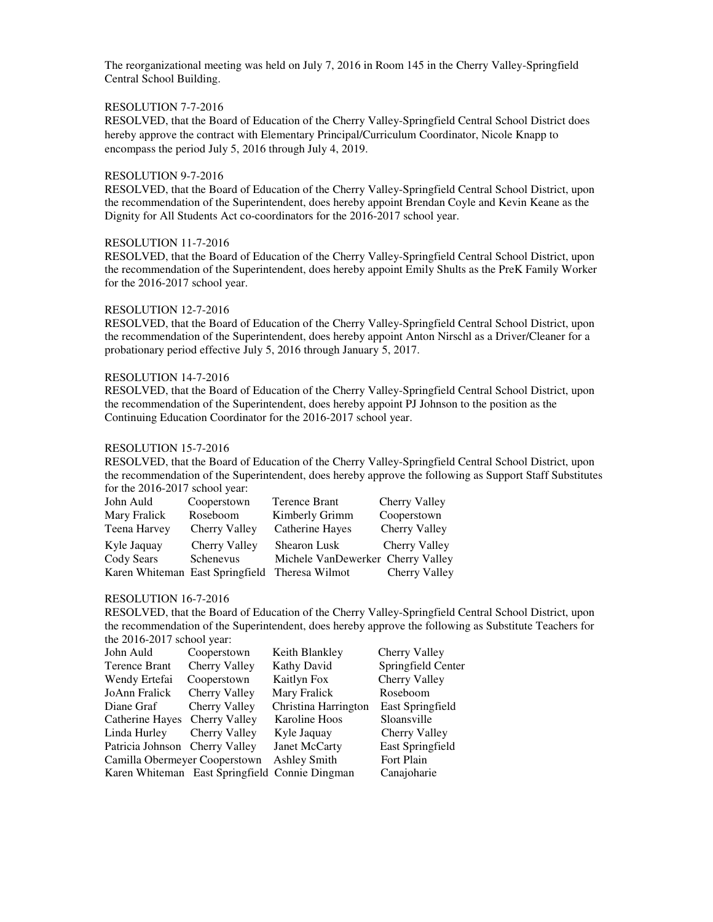## RESOLUTION 7-7-2016

RESOLVED, that the Board of Education of the Cherry Valley-Springfield Central School District does hereby approve the contract with Elementary Principal/Curriculum Coordinator, Nicole Knapp to encompass the period July 5, 2016 through July 4, 2019.

## RESOLUTION 9-7-2016

RESOLVED, that the Board of Education of the Cherry Valley-Springfield Central School District, upon the recommendation of the Superintendent, does hereby appoint Brendan Coyle and Kevin Keane as the Dignity for All Students Act co-coordinators for the 2016-2017 school year.

## RESOLUTION 11-7-2016

RESOLVED, that the Board of Education of the Cherry Valley-Springfield Central School District, upon the recommendation of the Superintendent, does hereby appoint Emily Shults as the PreK Family Worker for the 2016-2017 school year.

### RESOLUTION 12-7-2016

RESOLVED, that the Board of Education of the Cherry Valley-Springfield Central School District, upon the recommendation of the Superintendent, does hereby appoint Anton Nirschl as a Driver/Cleaner for a probationary period effective July 5, 2016 through January 5, 2017.

## RESOLUTION 14-7-2016

RESOLVED, that the Board of Education of the Cherry Valley-Springfield Central School District, upon the recommendation of the Superintendent, does hereby appoint PJ Johnson to the position as the Continuing Education Coordinator for the 2016-2017 school year.

## RESOLUTION 15-7-2016

RESOLVED, that the Board of Education of the Cherry Valley-Springfield Central School District, upon the recommendation of the Superintendent, does hereby approve the following as Support Staff Substitutes for the 2016-2017 school year:

| John Auld                                      | Cooperstown   | Terence Brant                     | Cherry Valley        |
|------------------------------------------------|---------------|-----------------------------------|----------------------|
| Mary Fralick                                   | Roseboom      | Kimberly Grimm                    | Cooperstown          |
| Teena Harvey                                   | Cherry Valley | Catherine Hayes                   | Cherry Valley        |
| Kyle Jaquay                                    | Cherry Valley | Shearon Lusk                      | <b>Cherry Valley</b> |
| Cody Sears                                     | Schenevus     | Michele VanDewerker Cherry Valley |                      |
| Karen Whiteman East Springfield Theresa Wilmot |               |                                   | Cherry Valley        |

### RESOLUTION 16-7-2016

RESOLVED, that the Board of Education of the Cherry Valley-Springfield Central School District, upon the recommendation of the Superintendent, does hereby approve the following as Substitute Teachers for the 2016-2017 school year:

| John Auld                      | Cooperstown   | Keith Blankley                                 | Cherry Valley      |
|--------------------------------|---------------|------------------------------------------------|--------------------|
| Terence Brant                  | Cherry Valley | Kathy David                                    | Springfield Center |
| Wendy Ertefai                  | Cooperstown   | Kaitlyn Fox                                    | Cherry Valley      |
| JoAnn Fralick                  | Cherry Valley | Mary Fralick                                   | Roseboom           |
| Diane Graf                     | Cherry Valley | Christina Harrington                           | East Springfield   |
| Catherine Hayes Cherry Valley  |               | Karoline Hoos                                  | Sloansville        |
| Linda Hurley Cherry Valley     |               | Kyle Jaquay                                    | Cherry Valley      |
| Patricia Johnson Cherry Valley |               | Janet McCarty                                  | East Springfield   |
| Camilla Obermeyer Cooperstown  |               | Ashley Smith                                   | Fort Plain         |
|                                |               | Karen Whiteman East Springfield Connie Dingman | Canajoharie        |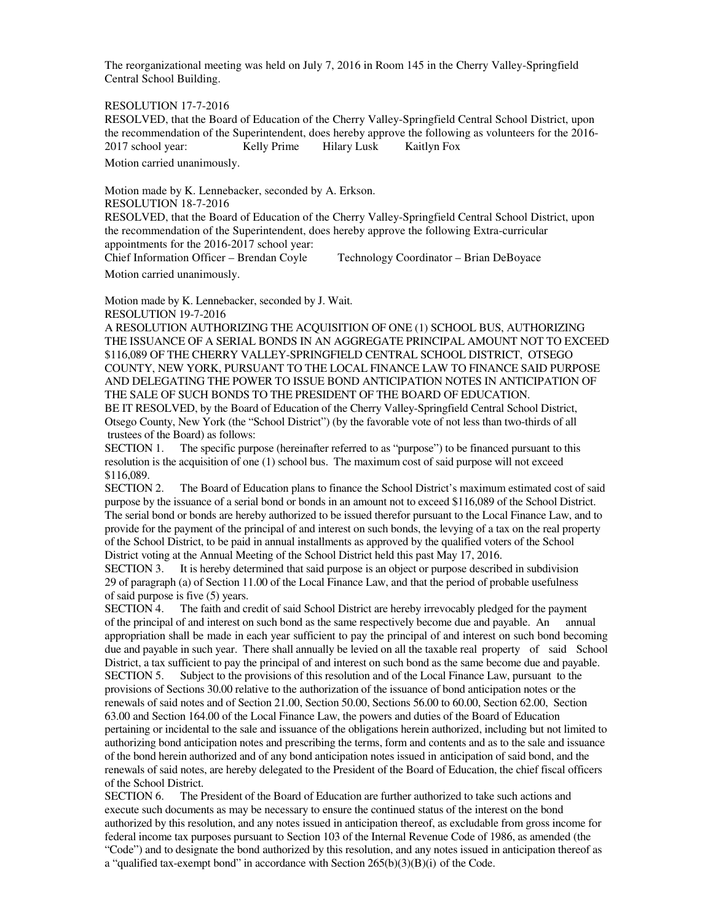RESOLUTION 17-7-2016

RESOLVED, that the Board of Education of the Cherry Valley-Springfield Central School District, upon the recommendation of the Superintendent, does hereby approve the following as volunteers for the 2016- 2017 school year: Kelly Prime Hilary Lusk Kaitlyn Fox

Motion carried unanimously.

Motion made by K. Lennebacker, seconded by A. Erkson. RESOLUTION 18-7-2016 RESOLVED, that the Board of Education of the Cherry Valley-Springfield Central School District, upon the recommendation of the Superintendent, does hereby approve the following Extra-curricular appointments for the 2016-2017 school year: Chief Information Officer – Brendan Coyle Technology Coordinator – Brian DeBoyace

Motion carried unanimously.

Motion made by K. Lennebacker, seconded by J. Wait. RESOLUTION 19-7-2016

A RESOLUTION AUTHORIZING THE ACQUISITION OF ONE (1) SCHOOL BUS, AUTHORIZING THE ISSUANCE OF A SERIAL BONDS IN AN AGGREGATE PRINCIPAL AMOUNT NOT TO EXCEED \$116,089 OF THE CHERRY VALLEY-SPRINGFIELD CENTRAL SCHOOL DISTRICT, OTSEGO COUNTY, NEW YORK, PURSUANT TO THE LOCAL FINANCE LAW TO FINANCE SAID PURPOSE AND DELEGATING THE POWER TO ISSUE BOND ANTICIPATION NOTES IN ANTICIPATION OF THE SALE OF SUCH BONDS TO THE PRESIDENT OF THE BOARD OF EDUCATION.

BE IT RESOLVED, by the Board of Education of the Cherry Valley-Springfield Central School District, Otsego County, New York (the "School District") (by the favorable vote of not less than two-thirds of all trustees of the Board) as follows:

SECTION 1. The specific purpose (hereinafter referred to as "purpose") to be financed pursuant to this resolution is the acquisition of one (1) school bus. The maximum cost of said purpose will not exceed \$116,089.

SECTION 2. The Board of Education plans to finance the School District's maximum estimated cost of said purpose by the issuance of a serial bond or bonds in an amount not to exceed \$116,089 of the School District. The serial bond or bonds are hereby authorized to be issued therefor pursuant to the Local Finance Law, and to provide for the payment of the principal of and interest on such bonds, the levying of a tax on the real property of the School District, to be paid in annual installments as approved by the qualified voters of the School District voting at the Annual Meeting of the School District held this past May 17, 2016.

SECTION 3. It is hereby determined that said purpose is an object or purpose described in subdivision 29 of paragraph (a) of Section 11.00 of the Local Finance Law, and that the period of probable usefulness of said purpose is five (5) years.

SECTION 4. The faith and credit of said School District are hereby irrevocably pledged for the payment of the principal of and interest on such bond as the same respectively become due and payable. An annual appropriation shall be made in each year sufficient to pay the principal of and interest on such bond becoming due and payable in such year. There shall annually be levied on all the taxable real property of said School District, a tax sufficient to pay the principal of and interest on such bond as the same become due and payable. SECTION 5. Subject to the provisions of this resolution and of the Local Finance Law, pursuant to the provisions of Sections 30.00 relative to the authorization of the issuance of bond anticipation notes or the renewals of said notes and of Section 21.00, Section 50.00, Sections 56.00 to 60.00, Section 62.00, Section 63.00 and Section 164.00 of the Local Finance Law, the powers and duties of the Board of Education pertaining or incidental to the sale and issuance of the obligations herein authorized, including but not limited to authorizing bond anticipation notes and prescribing the terms, form and contents and as to the sale and issuance of the bond herein authorized and of any bond anticipation notes issued in anticipation of said bond, and the renewals of said notes, are hereby delegated to the President of the Board of Education, the chief fiscal officers of the School District.

SECTION 6. The President of the Board of Education are further authorized to take such actions and execute such documents as may be necessary to ensure the continued status of the interest on the bond authorized by this resolution, and any notes issued in anticipation thereof, as excludable from gross income for federal income tax purposes pursuant to Section 103 of the Internal Revenue Code of 1986, as amended (the "Code") and to designate the bond authorized by this resolution, and any notes issued in anticipation thereof as a "qualified tax-exempt bond" in accordance with Section 265(b)(3)(B)(i) of the Code.